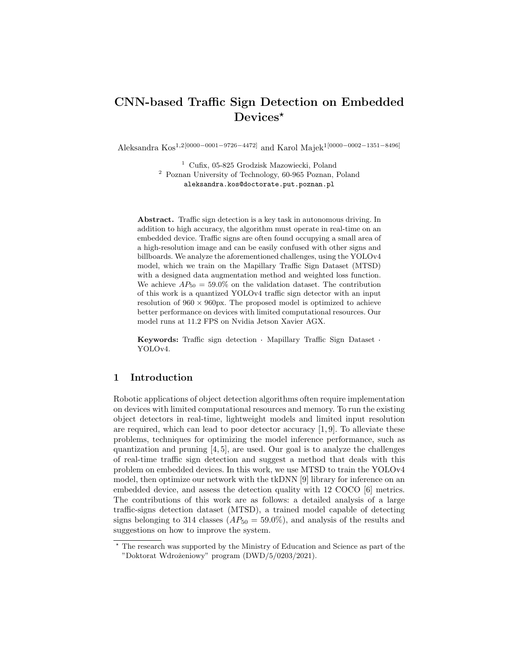# CNN-based Traffic Sign Detection on Embedded Devices\*

Aleksandra Kos1,2[0000−0001−9726−4472] and Karol Majek1[0000−0002−1351−8496]

<sup>1</sup> Cufix, 05-825 Grodzisk Mazowiecki, Poland <sup>2</sup> Poznan University of Technology, 60-965 Poznan, Poland aleksandra.kos@doctorate.put.poznan.pl

Abstract. Traffic sign detection is a key task in autonomous driving. In addition to high accuracy, the algorithm must operate in real-time on an embedded device. Traffic signs are often found occupying a small area of a high-resolution image and can be easily confused with other signs and billboards. We analyze the aforementioned challenges, using the YOLOv4 model, which we train on the Mapillary Traffic Sign Dataset (MTSD) with a designed data augmentation method and weighted loss function. We achieve  $AP_{50} = 59.0\%$  on the validation dataset. The contribution of this work is a quantized YOLOv4 traffic sign detector with an input resolution of  $960 \times 960$  px. The proposed model is optimized to achieve better performance on devices with limited computational resources. Our model runs at 11.2 FPS on Nvidia Jetson Xavier AGX.

Keywords: Traffic sign detection · Mapillary Traffic Sign Dataset · YOLOv4.

## 1 Introduction

Robotic applications of object detection algorithms often require implementation on devices with limited computational resources and memory. To run the existing object detectors in real-time, lightweight models and limited input resolution are required, which can lead to poor detector accuracy [1, 9]. To alleviate these problems, techniques for optimizing the model inference performance, such as quantization and pruning [4, 5], are used. Our goal is to analyze the challenges of real-time traffic sign detection and suggest a method that deals with this problem on embedded devices. In this work, we use MTSD to train the YOLOv4 model, then optimize our network with the tkDNN [9] library for inference on an embedded device, and assess the detection quality with 12 COCO [6] metrics. The contributions of this work are as follows: a detailed analysis of a large traffic-signs detection dataset (MTSD), a trained model capable of detecting signs belonging to 314 classes  $AP_{50} = 59.0\%$ , and analysis of the results and suggestions on how to improve the system.

<sup>?</sup> The research was supported by the Ministry of Education and Science as part of the "Doktorat Wdrożeniowy" program (DWD/5/0203/2021).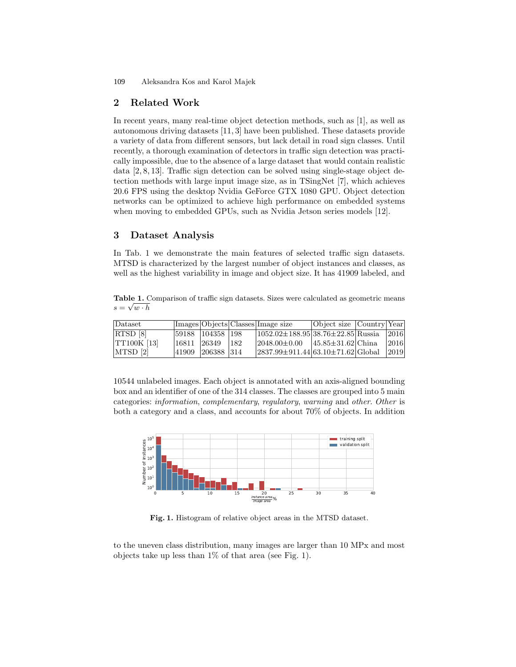Aleksandra Kos and Karol Majek 109

#### 2 Related Work

In recent years, many real-time object detection methods, such as [1], as well as autonomous driving datasets [11, 3] have been published. These datasets provide a variety of data from different sensors, but lack detail in road sign classes. Until recently, a thorough examination of detectors in traffic sign detection was practically impossible, due to the absence of a large dataset that would contain realistic data [2, 8, 13]. Traffic sign detection can be solved using single-stage object detection methods with large input image size, as in TSingNet [7], which achieves 20.6 FPS using the desktop Nvidia GeForce GTX 1080 GPU. Object detection networks can be optimized to achieve high performance on embedded systems when moving to embedded GPUs, such as Nvidia Jetson series models [12].

### 3 Dataset Analysis

In Tab. 1 we demonstrate the main features of selected traffic sign datasets. MTSD is characterized by the largest number of object instances and classes, as well as the highest variability in image and object size. It has 41909 labeled, and

Table 1. Comparison of traffic sign datasets. Sizes were calculated as geometric means  $s = \sqrt{w \cdot h}$ 

| Dataset            |       |                    |               | Images Objects Classes Image size              | Object size Country Year |      |
|--------------------|-------|--------------------|---------------|------------------------------------------------|--------------------------|------|
| RTSD [8]           |       | 59188  104358  198 |               | $(1052.02 \pm 188.95138.76 \pm 22.85)$ Russia  |                          | 2016 |
| <b>TT100K</b> [13] | 16811 | 26349              | $ 182\rangle$ | $ 2048.00 \pm 0.00 $ $ 45.85 \pm 31.62 $ China |                          | 2016 |
| MTSD 2             | 41909 | 206388 314         |               | $ 2837.99 \pm 911.44 63.10 \pm 71.62 G $ obal  |                          | 2019 |

10544 unlabeled images. Each object is annotated with an axis-aligned bounding box and an identifier of one of the 314 classes. The classes are grouped into 5 main categories: information, complementary, regulatory, warning and other. Other is both a category and a class, and accounts for about 70% of objects. In addition



Fig. 1. Histogram of relative object areas in the MTSD dataset.

to the uneven class distribution, many images are larger than 10 MPx and most objects take up less than 1% of that area (see Fig. 1).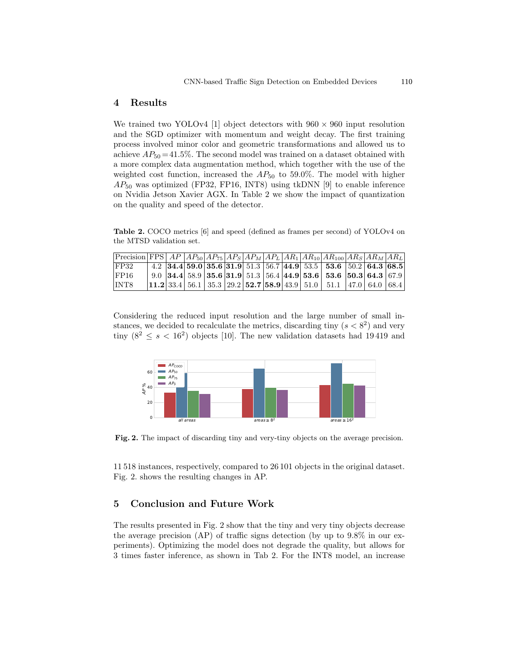#### 4 Results

We trained two YOLOv4 [1] object detectors with  $960 \times 960$  input resolution and the SGD optimizer with momentum and weight decay. The first training process involved minor color and geometric transformations and allowed us to achieve  $AP_{50} = 41.5\%$ . The second model was trained on a dataset obtained with a more complex data augmentation method, which together with the use of the weighted cost function, increased the  $AP_{50}$  to 59.0%. The model with higher  $AP_{50}$  was optimized (FP32, FP16, INT8) using tkDNN [9] to enable inference on Nvidia Jetson Xavier AGX. In Table 2 we show the impact of quantization on the quality and speed of the detector.

Table 2. COCO metrics [6] and speed (defined as frames per second) of YOLOv4 on the MTSD validation set.

| $\left[\text{Precision}\right]\text{FPS}\left[\text{AP}\right]AP_{50}\left AP_{75}\right AP_{S}\left AP_{M}\right AP_{L}\left AR_{1}\right AR_{10}\left AR_{100}\right AR_{S}\left AR_{M}\right AR_{L}\right]$ |  |  |  |  |                                                                                                                                                                                  |  |  |
|----------------------------------------------------------------------------------------------------------------------------------------------------------------------------------------------------------------|--|--|--|--|----------------------------------------------------------------------------------------------------------------------------------------------------------------------------------|--|--|
| IFP32                                                                                                                                                                                                          |  |  |  |  | 4.2 34.4 59.0 35.6 31.9 51.3 56.7 44.9 53.5 53.6 50.2 64.3 68.5                                                                                                                  |  |  |
| FP16                                                                                                                                                                                                           |  |  |  |  | 9.0 34.4 58.9 35.6 31.9 51.3 56.4 44.9 53.6 53.6 50.3 64.3 67.9                                                                                                                  |  |  |
| INT8                                                                                                                                                                                                           |  |  |  |  | $\vert$ 11.2 $\vert$ 33.4 $\vert$ 56.1 $\vert$ 35.3 $\vert$ 29.2 $\vert$ 52.7 $\vert$ 58.9 $\vert$ 43.9 $\vert$ 51.0 $\vert$ 51.1 $\vert$ 47.0 $\vert$ 64.0 $\vert$ 68.4 $\vert$ |  |  |

Considering the reduced input resolution and the large number of small instances, we decided to recalculate the metrics, discarding tiny  $(s < 8<sup>2</sup>)$  and very tiny  $(8^2 \leq s < 16^2)$  objects [10]. The new validation datasets had 19419 and



Fig. 2. The impact of discarding tiny and very-tiny objects on the average precision.

11 518 instances, respectively, compared to 26 101 objects in the original dataset. Fig. 2. shows the resulting changes in AP.

#### 5 Conclusion and Future Work

The results presented in Fig. 2 show that the tiny and very tiny objects decrease the average precision (AP) of traffic signs detection (by up to 9.8% in our experiments). Optimizing the model does not degrade the quality, but allows for 3 times faster inference, as shown in Tab 2. For the INT8 model, an increase